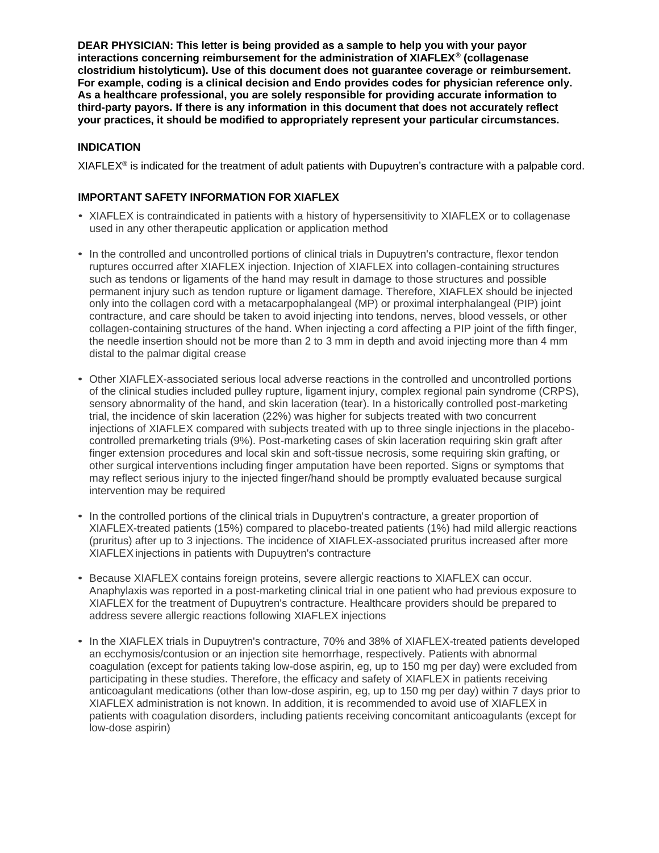**DEAR PHYSICIAN: This letter is being provided as a sample to help you with your payor interactions concerning reimbursement for the administration of XIAFLEX® (collagenase clostridium histolyticum). Use of this document does not guarantee coverage or reimbursement. For example, coding is a clinical decision and Endo provides codes for physician reference only. As a healthcare professional, you are solely responsible for providing accurate information to third-party payors. If there is any information in this document that does not accurately reflect your practices, it should be modified to appropriately represent your particular circumstances.**

## **INDICATION**

XIAFLE $X^{\circ}$  is indicated for the treatment of adult patients with Dupuytren's contracture with a palpable cord.

#### **IMPORTANT SAFETY INFORMATION FOR XIAFLEX**

- XIAFLEX is contraindicated in patients with a history of hypersensitivity to XIAFLEX or to collagenase used in any other therapeutic application or application method
- In the controlled and uncontrolled portions of clinical trials in Dupuytren's contracture, flexor tendon ruptures occurred after XIAFLEX injection. Injection of XIAFLEX into collagen-containing structures such as tendons or ligaments of the hand may result in damage to those structures and possible permanent injury such as tendon rupture or ligament damage. Therefore, XIAFLEX should be injected only into the collagen cord with a metacarpophalangeal (MP) or proximal interphalangeal (PIP) joint contracture, and care should be taken to avoid injecting into tendons, nerves, blood vessels, or other collagen-containing structures of the hand. When injecting a cord affecting a PIP joint of the fifth finger, the needle insertion should not be more than 2 to 3 mm in depth and avoid injecting more than 4 mm distal to the palmar digital crease
- Other XIAFLEX-associated serious local adverse reactions in the controlled and uncontrolled portions of the clinical studies included pulley rupture, ligament injury, complex regional pain syndrome (CRPS), sensory abnormality of the hand, and skin laceration (tear). In a historically controlled post-marketing trial, the incidence of skin laceration (22%) was higher for subjects treated with two concurrent injections of XIAFLEX compared with subjects treated with up to three single injections in the placebocontrolled premarketing trials (9%). Post-marketing cases of skin laceration requiring skin graft after finger extension procedures and local skin and soft-tissue necrosis, some requiring skin grafting, or other surgical interventions including finger amputation have been reported. Signs or symptoms that may reflect serious injury to the injected finger/hand should be promptly evaluated because surgical intervention may be required
- In the controlled portions of the clinical trials in Dupuytren's contracture, a greater proportion of XIAFLEX-treated patients (15%) compared to placebo-treated patients (1%) had mild allergic reactions (pruritus) after up to 3 injections. The incidence of XIAFLEX-associated pruritus increased after more XIAFLEX injections in patients with Dupuytren's contracture
- Because XIAFLEX contains foreign proteins, severe allergic reactions to XIAFLEX can occur. Anaphylaxis was reported in a post-marketing clinical trial in one patient who had previous exposure to XIAFLEX for the treatment of Dupuytren's contracture. Healthcare providers should be prepared to address severe allergic reactions following XIAFLEX injections
- In the XIAFLEX trials in Dupuytren's contracture, 70% and 38% of XIAFLEX-treated patients developed an ecchymosis/contusion or an injection site hemorrhage, respectively. Patients with abnormal coagulation (except for patients taking low-dose aspirin, eg, up to 150 mg per day) were excluded from participating in these studies. Therefore, the efficacy and safety of XIAFLEX in patients receiving anticoagulant medications (other than low-dose aspirin, eg, up to 150 mg per day) within 7 days prior to XIAFLEX administration is not known. In addition, it is recommended to avoid use of XIAFLEX in patients with coagulation disorders, including patients receiving concomitant anticoagulants (except for low-dose aspirin)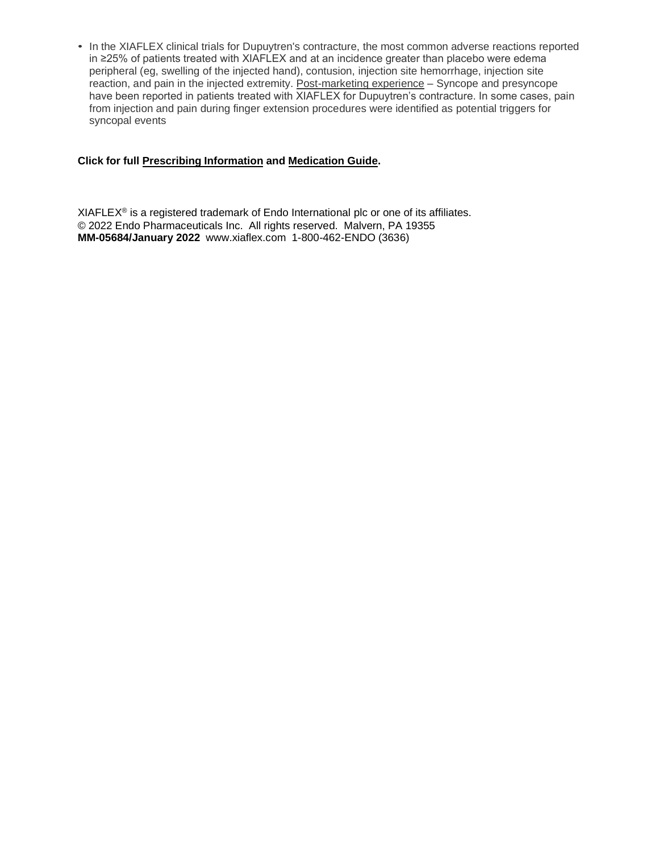• In the XIAFLEX clinical trials for Dupuytren's contracture, the most common adverse reactions reported in ≥25% of patients treated with XIAFLEX and at an incidence greater than placebo were edema peripheral (eg, swelling of the injected hand), contusion, injection site hemorrhage, injection site reaction, and pain in the injected extremity. Post-marketing experience – Syncope and presyncope have been reported in patients treated with XIAFLEX for Dupuytren's contracture. In some cases, pain from injection and pain during finger extension procedures were identified as potential triggers for syncopal events

## **Click for full [Prescribing Information](https://www.endodocuments.com/XIAFLEX/PI) and [Medication Guide](https://endodocuments.com/XIAFLEX/MG).**

 $XIAFLEX<sup>®</sup>$  is a registered trademark of Endo International plc or one of its affiliates. © 2022 Endo Pharmaceuticals Inc. All rights reserved. Malvern, PA 19355 **MM-05684/January 2022** [www.xiaflex.com](http://www.xiaflex.com/) 1-800-462-ENDO (3636)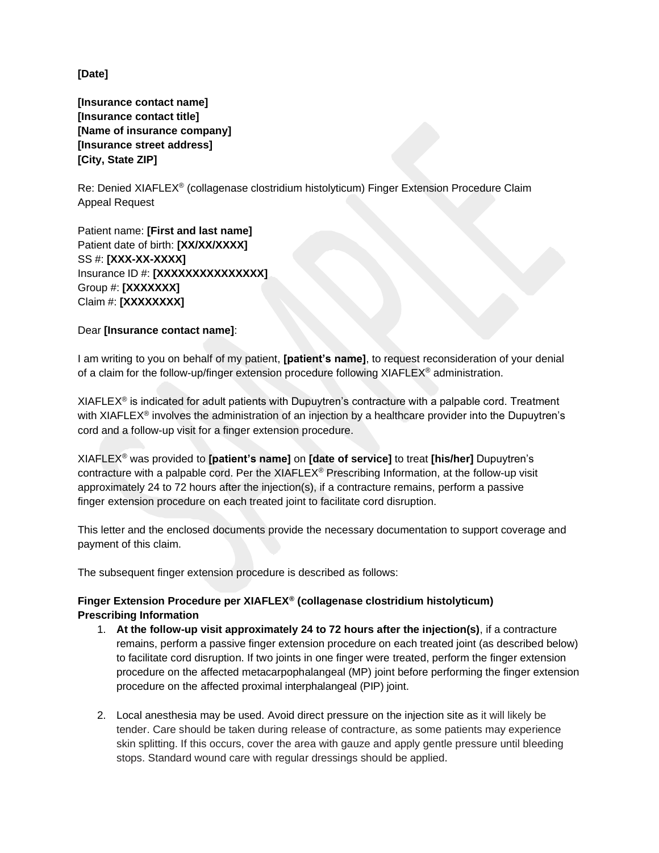**[Date]**

**[Insurance contact name] [Insurance contact title] [Name of insurance company] [Insurance street address] [City, State ZIP]** 

Re: Denied XIAFLEX® (collagenase clostridium histolyticum) Finger Extension Procedure Claim Appeal Request

Patient name: **[First and last name]**  Patient date of birth: **[XX/XX/XXXX]**  SS #: **[XXX-XX-XXXX]**  Insurance ID #: **[XXXXXXXXXXXXXXX]**  Group #: **[XXXXXXX]**  Claim #: **[XXXXXXXX]** 

#### Dear **[Insurance contact name]**:

I am writing to you on behalf of my patient, **[patient's name]**, to request reconsideration of your denial of a claim for the follow-up/finger extension procedure following XIAFLEX® administration.

 $XIAFLEX^{\circ}$  is indicated for adult patients with Dupuytren's contracture with a palpable cord. Treatment with XIAFLEX<sup>®</sup> involves the administration of an injection by a healthcare provider into the Dupuytren's cord and a follow-up visit for a finger extension procedure.

XIAFLEX® was provided to **[patient's name]** on **[date of service]** to treat **[his/her]** Dupuytren's contracture with a palpable cord. Per the XIAFLEX® Prescribing Information, at the follow-up visit approximately 24 to 72 hours after the injection(s), if a contracture remains, perform a passive finger extension procedure on each treated joint to facilitate cord disruption.

This letter and the enclosed documents provide the necessary documentation to support coverage and payment of this claim.

The subsequent finger extension procedure is described as follows:

# **Finger Extension Procedure per XIAFLEX® (collagenase clostridium histolyticum) Prescribing Information**

- 1. **At the follow-up visit approximately 24 to 72 hours after the injection(s)**, if a contracture remains, perform a passive finger extension procedure on each treated joint (as described below) to facilitate cord disruption. If two joints in one finger were treated, perform the finger extension procedure on the affected metacarpophalangeal (MP) joint before performing the finger extension procedure on the affected proximal interphalangeal (PIP) joint.
- 2. Local anesthesia may be used. Avoid direct pressure on the injection site as it will likely be tender. Care should be taken during release of contracture, as some patients may experience skin splitting. If this occurs, cover the area with gauze and apply gentle pressure until bleeding stops. Standard wound care with regular dressings should be applied.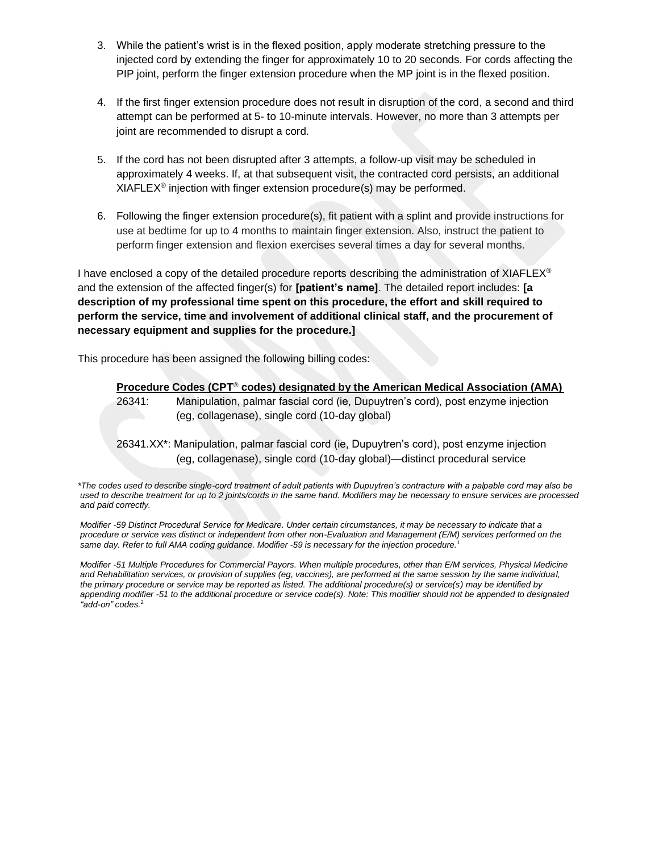- 3. While the patient's wrist is in the flexed position, apply moderate stretching pressure to the injected cord by extending the finger for approximately 10 to 20 seconds. For cords affecting the PIP joint, perform the finger extension procedure when the MP joint is in the flexed position.
- 4. If the first finger extension procedure does not result in disruption of the cord, a second and third attempt can be performed at 5- to 10-minute intervals. However, no more than 3 attempts per joint are recommended to disrupt a cord.
- 5. If the cord has not been disrupted after 3 attempts, a follow-up visit may be scheduled in approximately 4 weeks. If, at that subsequent visit, the contracted cord persists, an additional  $XIAFLEX^{\circledcirc}$  injection with finger extension procedure(s) may be performed.
- 6. Following the finger extension procedure(s), fit patient with a splint and provide instructions for use at bedtime for up to 4 months to maintain finger extension. Also, instruct the patient to perform finger extension and flexion exercises several times a day for several months.

I have enclosed a copy of the detailed procedure reports describing the administration of  $XIAFLEX^{\circ}$ and the extension of the affected finger(s) for **[patient's name]**. The detailed report includes: **[a description of my professional time spent on this procedure, the effort and skill required to perform the service, time and involvement of additional clinical staff, and the procurement of necessary equipment and supplies for the procedure.]** 

This procedure has been assigned the following billing codes:

## **Procedure Codes (CPT**® **codes) designated by the American Medical Association (AMA)**

26341: Manipulation, palmar fascial cord (ie, Dupuytren's cord), post enzyme injection (eg, collagenase), single cord (10-day global)

26341.XX\*: Manipulation, palmar fascial cord (ie, Dupuytren's cord), post enzyme injection (eg, collagenase), single cord (10-day global)—distinct procedural service

*\*The codes used to describe single-cord treatment of adult patients with Dupuytren's contracture with a palpable cord may also be used to describe treatment for up to 2 joints/cords in the same hand. Modifiers may be necessary to ensure services are processed and paid correctly.*

*Modifier -59 Distinct Procedural Service for Medicare. Under certain circumstances, it may be necessary to indicate that a procedure or service was distinct or independent from other non-Evaluation and Management (E/M) services performed on the same day. Refer to full AMA coding guidance. Modifier -59 is necessary for the injection procedure.*<sup>1</sup>

*Modifier -51 Multiple Procedures for Commercial Payors. When multiple procedures, other than E/M services, Physical Medicine and Rehabilitation services, or provision of supplies (eg, vaccines), are performed at the same session by the same individual, the primary procedure or service may be reported as listed. The additional procedure(s) or service(s) may be identified by appending modifier -51 to the additional procedure or service code(s). Note: This modifier should not be appended to designated "add-on" codes.*<sup>2</sup>